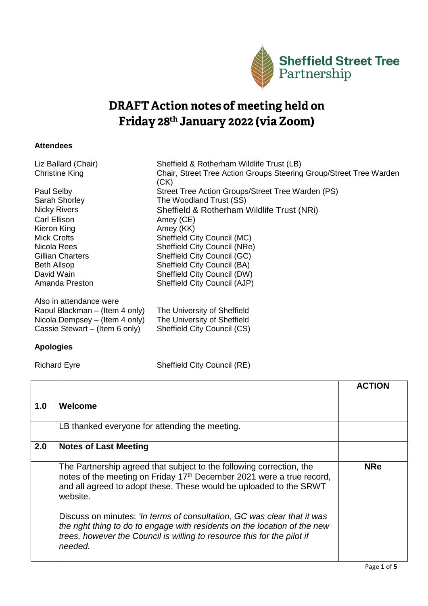

## **DRAFT Action notes of meeting held on** Friday 28th January 2022 (via Zoom)

## **Attendees**

| Liz Ballard (Chair)<br><b>Christine King</b> | Sheffield & Rotherham Wildlife Trust (LB)<br>Chair, Street Tree Action Groups Steering Group/Street Tree Warden |
|----------------------------------------------|-----------------------------------------------------------------------------------------------------------------|
|                                              | (CK)                                                                                                            |
| Paul Selby                                   | Street Tree Action Groups/Street Tree Warden (PS)                                                               |
| Sarah Shorley                                | The Woodland Trust (SS)                                                                                         |
| <b>Nicky Rivers</b>                          | Sheffield & Rotherham Wildlife Trust (NRi)                                                                      |
| Carl Ellison                                 | Amey (CE)                                                                                                       |
| Kieron King                                  | Amey (KK)                                                                                                       |
| <b>Mick Crofts</b>                           | Sheffield City Council (MC)                                                                                     |
| Nicola Rees                                  | Sheffield City Council (NRe)                                                                                    |
| Gillian Charters                             | Sheffield City Council (GC)                                                                                     |
| <b>Beth Allsop</b>                           | Sheffield City Council (BA)                                                                                     |
| David Wain                                   | Sheffield City Council (DW)                                                                                     |
| Amanda Preston                               | Sheffield City Council (AJP)                                                                                    |
| Also in attendance were                      |                                                                                                                 |
| Raoul Blackman – (Item 4 only)               | The University of Sheffield                                                                                     |
| Nicola Dempsey – (Item 4 only)               | The University of Sheffield                                                                                     |
| Cassie Stewart – (Item 6 only)               | Sheffield City Council (CS)                                                                                     |

## **Apologies**

Richard Eyre Sheffield City Council (RE)

|     |                                                                                                                                                                                                                                             | <b>ACTION</b> |
|-----|---------------------------------------------------------------------------------------------------------------------------------------------------------------------------------------------------------------------------------------------|---------------|
| 1.0 | Welcome                                                                                                                                                                                                                                     |               |
|     | LB thanked everyone for attending the meeting.                                                                                                                                                                                              |               |
| 2.0 | <b>Notes of Last Meeting</b>                                                                                                                                                                                                                |               |
|     | The Partnership agreed that subject to the following correction, the<br>notes of the meeting on Friday 17 <sup>th</sup> December 2021 were a true record,<br>and all agreed to adopt these. These would be uploaded to the SRWT<br>website. | <b>NRe</b>    |
|     | Discuss on minutes: 'In terms of consultation, GC was clear that it was<br>the right thing to do to engage with residents on the location of the new<br>trees, however the Council is willing to resource this for the pilot if<br>needed.  |               |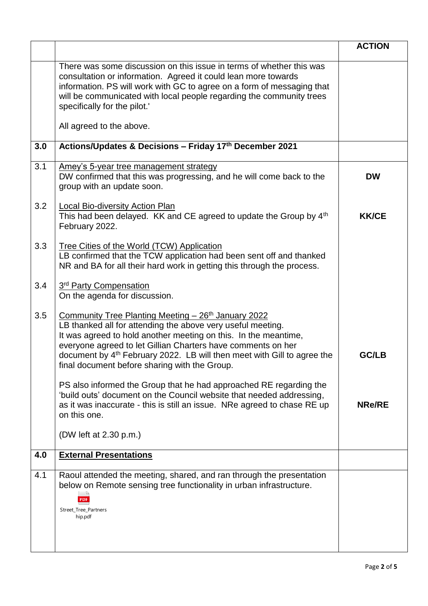|     |                                                                                                                                                                                                                                                                                                                                                                                               | <b>ACTION</b> |
|-----|-----------------------------------------------------------------------------------------------------------------------------------------------------------------------------------------------------------------------------------------------------------------------------------------------------------------------------------------------------------------------------------------------|---------------|
|     | There was some discussion on this issue in terms of whether this was<br>consultation or information. Agreed it could lean more towards<br>information. PS will work with GC to agree on a form of messaging that<br>will be communicated with local people regarding the community trees<br>specifically for the pilot."                                                                      |               |
|     | All agreed to the above.                                                                                                                                                                                                                                                                                                                                                                      |               |
| 3.0 | Actions/Updates & Decisions - Friday 17th December 2021                                                                                                                                                                                                                                                                                                                                       |               |
| 3.1 | <u>Amey's 5-year tree management strategy</u><br>DW confirmed that this was progressing, and he will come back to the<br>group with an update soon.                                                                                                                                                                                                                                           | <b>DW</b>     |
| 3.2 | Local Bio-diversity Action Plan<br>This had been delayed. KK and CE agreed to update the Group by 4th<br>February 2022.                                                                                                                                                                                                                                                                       | <b>KK/CE</b>  |
| 3.3 | Tree Cities of the World (TCW) Application<br>LB confirmed that the TCW application had been sent off and thanked<br>NR and BA for all their hard work in getting this through the process.                                                                                                                                                                                                   |               |
| 3.4 | 3 <sup>rd</sup> Party Compensation<br>On the agenda for discussion.                                                                                                                                                                                                                                                                                                                           |               |
| 3.5 | Community Tree Planting Meeting - 26th January 2022<br>LB thanked all for attending the above very useful meeting.<br>It was agreed to hold another meeting on this. In the meantime,<br>everyone agreed to let Gillian Charters have comments on her<br>document by 4 <sup>th</sup> February 2022. LB will then meet with Gill to agree the<br>final document before sharing with the Group. | <b>GC/LB</b>  |
|     | PS also informed the Group that he had approached RE regarding the<br>'build outs' document on the Council website that needed addressing,<br>as it was inaccurate - this is still an issue. NRe agreed to chase RE up<br>on this one.                                                                                                                                                        | <b>NRe/RE</b> |
|     | (DW left at 2.30 p.m.)                                                                                                                                                                                                                                                                                                                                                                        |               |
| 4.0 | <b>External Presentations</b>                                                                                                                                                                                                                                                                                                                                                                 |               |
| 4.1 | Raoul attended the meeting, shared, and ran through the presentation<br>below on Remote sensing tree functionality in urban infrastructure.<br>Street_Tree_Partners<br>hip.pdf                                                                                                                                                                                                                |               |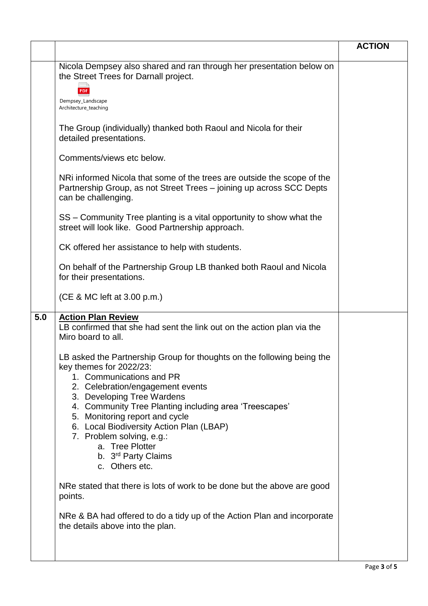|     |                                                                                                                                                                        | <b>ACTION</b> |
|-----|------------------------------------------------------------------------------------------------------------------------------------------------------------------------|---------------|
|     | Nicola Dempsey also shared and ran through her presentation below on<br>the Street Trees for Darnall project.                                                          |               |
|     | Dempsey_Landscape<br>Architecture_teaching                                                                                                                             |               |
|     | The Group (individually) thanked both Raoul and Nicola for their<br>detailed presentations.                                                                            |               |
|     | Comments/views etc below.                                                                                                                                              |               |
|     | NRI informed Nicola that some of the trees are outside the scope of the<br>Partnership Group, as not Street Trees - joining up across SCC Depts<br>can be challenging. |               |
|     | SS – Community Tree planting is a vital opportunity to show what the<br>street will look like. Good Partnership approach.                                              |               |
|     | CK offered her assistance to help with students.                                                                                                                       |               |
|     | On behalf of the Partnership Group LB thanked both Raoul and Nicola<br>for their presentations.                                                                        |               |
|     | (CE & MC left at 3.00 p.m.)                                                                                                                                            |               |
| 5.0 | <b>Action Plan Review</b><br>LB confirmed that she had sent the link out on the action plan via the<br>Miro board to all.                                              |               |
|     | LB asked the Partnership Group for thoughts on the following being the<br>key themes for 2022/23:<br>1. Communications and PR<br>2. Celebration/engagement events      |               |
|     | 3. Developing Tree Wardens<br>4. Community Tree Planting including area 'Treescapes'<br>5. Monitoring report and cycle                                                 |               |
|     | 6. Local Biodiversity Action Plan (LBAP)<br>7. Problem solving, e.g.:<br>a. Tree Plotter<br>b. 3 <sup>rd</sup> Party Claims<br>c. Others etc.                          |               |
|     | NRe stated that there is lots of work to be done but the above are good<br>points.                                                                                     |               |
|     | NRe & BA had offered to do a tidy up of the Action Plan and incorporate<br>the details above into the plan.                                                            |               |
|     |                                                                                                                                                                        |               |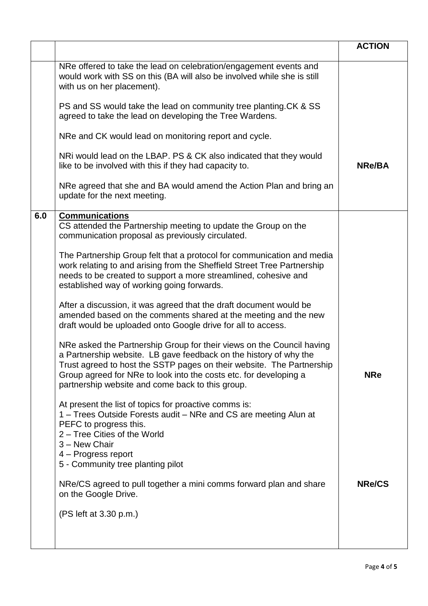|     |                                                                                                                                                                                                                                                                                                                                              | <b>ACTION</b> |
|-----|----------------------------------------------------------------------------------------------------------------------------------------------------------------------------------------------------------------------------------------------------------------------------------------------------------------------------------------------|---------------|
|     | NRe offered to take the lead on celebration/engagement events and<br>would work with SS on this (BA will also be involved while she is still<br>with us on her placement).                                                                                                                                                                   |               |
|     | PS and SS would take the lead on community tree planting. CK & SS<br>agreed to take the lead on developing the Tree Wardens.                                                                                                                                                                                                                 |               |
|     | NRe and CK would lead on monitoring report and cycle.                                                                                                                                                                                                                                                                                        |               |
|     | NRi would lead on the LBAP. PS & CK also indicated that they would<br>like to be involved with this if they had capacity to.                                                                                                                                                                                                                 | <b>NRe/BA</b> |
|     | NRe agreed that she and BA would amend the Action Plan and bring an<br>update for the next meeting.                                                                                                                                                                                                                                          |               |
| 6.0 | <b>Communications</b><br>CS attended the Partnership meeting to update the Group on the<br>communication proposal as previously circulated.                                                                                                                                                                                                  |               |
|     | The Partnership Group felt that a protocol for communication and media<br>work relating to and arising from the Sheffield Street Tree Partnership<br>needs to be created to support a more streamlined, cohesive and<br>established way of working going forwards.                                                                           |               |
|     | After a discussion, it was agreed that the draft document would be<br>amended based on the comments shared at the meeting and the new<br>draft would be uploaded onto Google drive for all to access.                                                                                                                                        |               |
|     | NRe asked the Partnership Group for their views on the Council having<br>a Partnership website. LB gave feedback on the history of why the<br>Trust agreed to host the SSTP pages on their website. The Partnership<br>Group agreed for NRe to look into the costs etc. for developing a<br>partnership website and come back to this group. | <b>NRe</b>    |
|     | At present the list of topics for proactive comms is:<br>1 – Trees Outside Forests audit – NRe and CS are meeting Alun at<br>PEFC to progress this.<br>2 - Tree Cities of the World<br>3 - New Chair<br>4 - Progress report<br>5 - Community tree planting pilot                                                                             |               |
|     | NRe/CS agreed to pull together a mini comms forward plan and share<br>on the Google Drive.                                                                                                                                                                                                                                                   | <b>NRe/CS</b> |
|     | (PS left at 3.30 p.m.)                                                                                                                                                                                                                                                                                                                       |               |
|     |                                                                                                                                                                                                                                                                                                                                              |               |